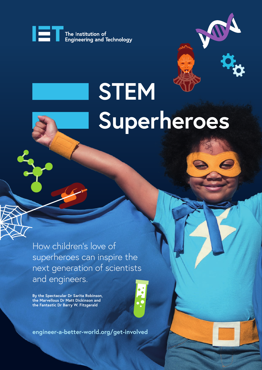

# **STEM Superheroes**

How children's love of superheroes can inspire the next generation of scientists and engineers.

**By the Spectacular Dr Sarita Robinson, the Marvellous Dr Matt Dickinson and the Fantastic Dr Barry W. Fitzgerald**



**engineer-a-better-world.org/get-involved**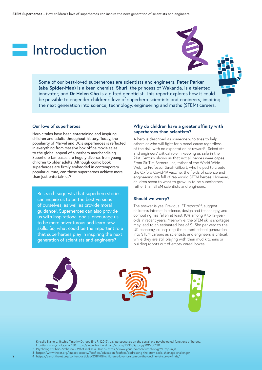### **Introduction**

Some of our best-loved superheroes are scientists and engineers. **Peter Parker (aka Spider-Man)** is a keen chemist; **Shuri**, the princess of Wakanda, is a talented innovator; and **Dr Helen Cho** is a gifted geneticist. This report explores how it could be possible to engender children's love of superhero scientists and engineers, inspiring the next generation into science, technology, engineering and maths (STEM) careers.

#### **Our love of superheroes**

Heroic tales have been entertaining and inspiring children and adults throughout history. Today, the popularity of Marvel and DC's superheroes is reflected in everything from massive box office movie sales to the global appeal of superhero merchandising. Superhero fan bases are hugely diverse, from young children to older adults. Although comic book superheroes are firmly embedded in contemporary popular culture, can these superheroes achieve more than just entertain us?

Research suggests that superhero stories can inspire us to be the best versions of ourselves, as well as provide moral guidance1 . Superheroes can also provide us with inspirational goals, encourage us to be more adventurous and learn new skills. So, what could be the important role that superheroes play in inspiring the next generation of scientists and engineers?

#### **Why do children have a greater affinity with superheroes than scientists?**

A hero is described as someone who tries to help others or who will fight for a moral cause regardless of the risk, with no expectation of reward<sup>2</sup>. Scientists and engineers' critical role in keeping us safe in the 21st Century shows us that not all heroes wear capes. From Sir Tim Berners-Lee, father of the World Wide Web, to Professor Sarah Gilbert, who helped to create the Oxford Covid-19 vaccine, the fields of science and engineering are full of real-world STEM heroes. However, children seem to want to grow up to be superheroes, rather than STEM scientists and engineers.

#### **Should we worry?**

The answer is yes. Previous IET reports $3,4$ , suggest children's interest in science, design and technology, and computing has fallen at least 10% among 9 to 12-yearolds in recent years. Meanwhile, the STEM skills shortages may lead to an estimated loss of £1.5bn per year to the UK economy, so inspiring the current school generation into STEM careers as scientists and engineers is critical, while they are still playing with their mud kitchens or building robots out of empty cereal boxes.



1 Kinsella Elaine L., Ritchie Timothy D., Igou Eric R. (2015). Lay perspectives on the social and psychological functions of heroes.

Frontiers in Psychology. 6, 130 https://www.frontiersin.org/article/10.3389/fpsyg.2015.00130

3 https://www.theiet.org/impact-society/factfiles/education-factfiles/addressing-the-stem-skills-shortage-challenge/

4 https://eandt.theiet.org/content/articles/2019/08/children-s-love-for-stem-on-the-decline-iet-survey-finds/

<sup>2</sup> Psychologist Philip Zimbardo – What makes a Hero? – https://www.youtube.com/watch?v=grMHzqtRm\_8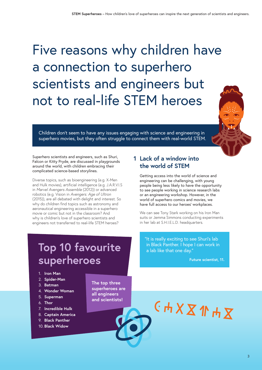### Five reasons why children have a connection to superhero scientists and engineers but not to real-life STEM heroes

Children don't seem to have any issues engaging with science and engineering in superhero movies, but they often struggle to connect them with real-world STEM.

Superhero scientists and engineers, such as Shuri, Falcon or Kitty Pryde, are discussed in playgrounds around the world, with children embracing their complicated science-based storylines.

Diverse topics, such as bioengineering (e.g. X-Men and Hulk movies), artificial intelligence (e.g. J.A.R.V.I.S in *Marvel Avengers Assemble* (2012)) or advanced robotics (e.g. Vision in *Avengers: Age of Ultron* (2015)), are all debated with delight and interest. So why do children find topics such as astronomy and aeronautical engineering accessible in a superhero movie or comic but not in the classroom? And why is children's love of superhero scientists and engineers not transferred to real-life STEM heroes?

### **1 Lack of a window into the world of STEM**

Getting access into the world of science and engineering can be challenging, with young people being less likely to have the opportunity to see people working in science research labs or an engineering workshop. However, in the world of superhero comics and movies, we have full access to our heroes' workplaces.

We can see Tony Stark working on his Iron Man suits or Jemma Simmons conducting experiments in her lab at S.H.I.E.L.D. headquarters.

### **Top 10 favourite superheroes**

#### 1. **Iron Man**

- 2. **Spider-Man**
- 3. **Batman**
- 4. **Wonder Woman**
- 5. **Superman**
- 6. **Thor**
- 7. **Incredible Hulk**
- 8. **Captain America**
- 9. **Black Panther**
- 10. **Black Widow**

**The top three superheroes are all engineers and scientists!**

"It is really exciting to see Shuri's lab in Black Panther. I hope I can work in a lab like that one day."

**Future scientist, 11.**

## CHXX1HX

3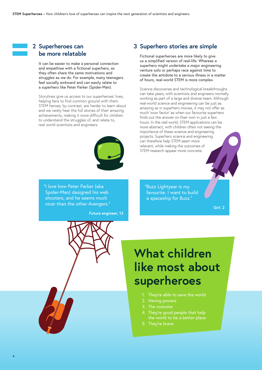### **2 Superheroes can be more relatable**

It can be easier to make a personal connection and empathise with a fictional superhero, as they often share the same motivations and struggles as we do. For example, many teenagers feel socially awkward and can easily relate to a superhero like Peter Parker (Spider-Man).

Storylines give us access to our superheroes' lives, helping fans to find common ground with them. STEM heroes, by contrast, are harder to learn about and we rarely hear the full stories of their amazing achievements, making it more difficult for children to understand the struggles of, and relate to, real world scientists and engineers.



"I love how Peter Parker (aka Spider-Man) designed his web shooters, and he seems much nicer than the other Avengers."

**Future engineer, 13**



Fictional superheroes are more likely to give us a simplified version of real-life. Whereas a superhero might undertake a major engineering venture solo or perhaps race against time to create the antidote to a serious illness in a matter of hours, real-world STEM is more complex.

Science discoveries and technological breakthroughs can take years, with scientists and engineers normally working as part of a large and diverse team. Although real-world science and engineering can be just as amazing as in superhero movies, it may not offer as much 'wow factor' as when our favourite superhero finds out the answer on their own in just a few hours. In the real world, STEM applications can be more abstract, with children often not seeing the importance of these science and engineering projects. Superhero science and engineering can therefore help STEM seem more relevant, while making the outcomes of STEM research appear more concrete.

"Buzz Lightyear is my favourite. I want to build a spaceship for Buzz."

**Girl, 2**

### **What children like most about superheroes**

- 1. They're able to save the world
- 2. Having powers
- 3. The costume
- 4. They're good people that help the world to be a better place
- 5. They're brave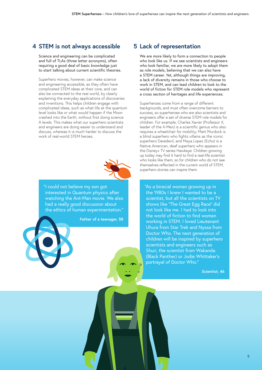### **4 STEM is not always accessible**

Science and engineering can be complicated and full of TLAs (three letter acronyms), often requiring a good deal of basic knowledge just to start talking about current scientific theories.

Superhero movies, however, can make science and engineering accessible, as they often have complicated STEM ideas at their core, and can also be connected to the real world, by clearly explaining the everyday applications of discoveries and inventions. This helps children engage with complicated ideas, such as what life at the quantum level looks like or what would happen if the Moon crashed into the Earth, without first doing science A levels. This makes what our superhero scientists and engineers are doing easier to understand and discuss, whereas it is much harder to discuss the work of real-world STEM heroes.



"I could not believe my son got interested in Quantum physics after watching the Ant-Man movie. We also had a really good discussion about the ethics of human experimentation."

**Father of a teenager, 58**

#### **5 Lack of representation**

We are more likely to form a connection to people who look like us. If we see scientists and engineers who look familiar, we are more likely to adopt them as role models, believing that we can also have a STEM career. Yet, although things are improving, a lack of diversity remains in those who choose to work in STEM, and can lead children to look to the world of fiction for STEM role models who represent a cross section of heritages and life experiences.

Superheroes come from a range of different backgrounds, and must often overcome barriers to success, so superheroes who are also scientists and engineers offer a set of diverse STEM role models for children. For example, Charles Xavier (Professor X, leader of the X-Men) is a scientific genius who also requires a wheelchair for mobility; Matt Murdock is a blind superhero who fights villains as the iconic superhero Daredevil; and Maya Lopez (Echo) is a Native American, deaf superhero who appears in the Disney+ TV series Hawkeye. Children growing up today may find it hard to find a real-life scientist who looks like them, so for children who do not see themselves reflected in the current world of STEM, superhero stories can inspire them.

"As a biracial woman growing up in the 1980s I knew I wanted to be a scientist, but all the scientists on TV shows like "The Great Egg Race" did not look like me. I had to look into the world of fiction to find women working in STEM. I loved Lieutenant Uhura from Star Trek and Nyssa from Doctor Who. The next generation of children will be inspired by superhero scientists and engineers such as Shuri, the scientist from Wakanda (Black Panther) or Jodie Whittaker's portrayal of Doctor Who."

**Scientist, 46**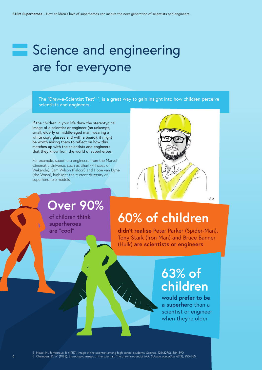### Science and engineering are for everyone

The "Draw-a-Scientist Test"<sup>5,6</sup>, is a great way to gain insight into how children perceive scientists and engineers.

If the children in your life draw the stereotypical image of a scientist or engineer (an unkempt, small, elderly or middle-aged man, wearing a white coat, glasses and with a beard), it might be worth asking them to reflect on how this matches up with the scientists and engineers that they know from the world of superheroes.

For example, superhero engineers from the Marvel Cinematic Universe, such as Shuri (Princess of Wakanda), Sam Wilson (Falcon) and Hope van Dyne (the Wasp), highlight the current diversity of superhero role models.



### **Over 90%**

of children **think superheroes are "cool"**

### **60% of children**

**didn't realise** Peter Parker (Spider-Man), Tony Stark (Iron Man) and Bruce Banner (Hulk) **are scientists or engineers**

### **63% of children**

**would prefer to be a superhero** than a scientist or engineer when they're older

5 Mead, M., & Metraux, R. (1957). Image of the scientist among high-school students. Science, 126(3270), 384-390. 6 Chambers, D. W. (1983). Stereotypic images of the scientist: The draw-a-scientist test. *Science education*, 67(2), 255-265.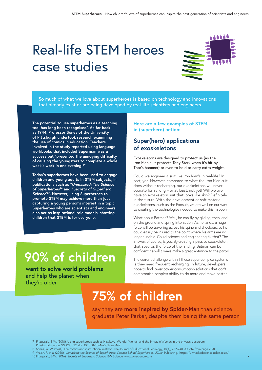### Real-life STEM heroes case studies



So much of what we love about superheroes is based on technology and innovations that already exist or are being developed by real-life scientists and engineers.

**The potential to use superheroes as a teaching tool has long been recognised7 . As far back as 1944, Professor Sones of the University of Pittsburgh undertook research examining the use of comics in education. Teachers involved in the study reported using language workbooks that included Superman was a success but "presented the annoying difficulty of causing the youngsters to complete a whole week's work in one evening!8"** 

**Today's superheroes have been used to engage children and young adults in STEM subjects, in publications such as "***Unmasked: The Science of Superheroes***<sup>9</sup> " and "***Secrets of Superhero Science***10". However, using Superheroes to promote STEM may achieve more than just capturing a young person's interest in a topic. Superheroes who are scientists and engineers also act as inspirational role models, showing children that STEM is for everyone.**

#### **Here are a few examples of STEM in (superhero) action:**

### **Super(hero) applications of exoskeletons**

Exoskeletons are designed to protect us (as the Iron Man suit protects Tony Stark when it's hit by Thor's hammer) or even to hold or carry extra weight.

Could we engineer a suit like Iron Man's in real-life? In part, yes. However, compared to what the Iron Man suit does without recharging, our exoskeletons will never operate for as long – or at least, not yet! Will we ever have an exoskeleton suit that looks like skin? Definitely in the future. With the development of soft material exoskeletons, such as the Exosuit, we are well on our way to creating the technologies needed to make this happen.

What about Batman? Well, he can fly by gliding, then land on the ground and spring into action. As he lands, a huge force will be travelling across his spine and shoulders, so he could easily be injured to the point where his arms are no longer usable. Could science and engineering fix that? The answer, of course, is yes. By creating a passive exoskeleton that absorbs the force of the landing, Batman can be confident he will always make a great entrance to the party!

### **90% of children**

**want to solve world problems** and help the planet when they're older

The current challenge with all these super-complex systems is they need frequent recharging. In future, developers hope to find lower power consumption solutions that don't compromise people's ability to do more and move better.

### **75% of children**

say they are **more inspired by Spider-Man** than science graduate Peter Parker, despite them being the same person

- Physics Education, 53, 035032, doi: 10.1088/1361-6552/aab442.
- 8 Sones, W. W. (1944). The comics and instructional method. The Journal of Educational Sociology, 18(4), 232-240. (Quote from page 233).

10 Fitzgerald, B.W. (2016). *Secrets of Superhero Science*. BW Science. www.bwscience.com.

<sup>7</sup> Fitzgerald, B.W. (2018). Using superheroes such as Hawkeye, Wonder Woman and the Invisible Woman in the physics classroom.

<sup>9</sup> Walsh, R. et al (2020). *Unmasked: the Science of Superheroes: Science Behind Superheroes*. UCLan Publishing. https://unmaskedscience.uclan.ac.uk/.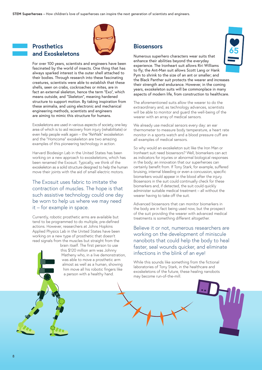

### **and Exoskeletons**



For over 100 years, scientists and engineers have been fascinated by the world of insects. One thing that has always sparked interest is the outer shell attached to their bodies. Through research into these fascinating creatures, scientists were able to establish that these shells, seen on crabs, cockroaches or mites, are in fact an external skeleton, hence the term "Exo", which means outside, and "Skeleton", meaning hardened structure to support motion. By taking inspiration from these animalia, and using electronic and mechanical engineering methods, scientists and engineers are aiming to mimic this structure for humans.

Exoskeletons are used in various aspects of society, one key area of which is to aid recovery from injury (rehabilitate) or even help people walk again – the "ReWalk" exoskeleton and the "Homcoma" exoskeleton are two amazing examples of this pioneering technology in action.

Harvard Biodesign Lab in the United States has been working on a new approach to exoskeletons, which has been renamed the Exosuit. Typically, we think of the exoskeleton as a solid structure designed to help the human move their joints with the aid of small electric motors.

The Exosuit uses fabric to imitate the contraction of muscles. The hope is that such assistive technology could one day be worn to help us where we may need it – for example in space.

Currently, robotic prosthetic arms are available but tend to be programmed to do multiple, pre-defined actions. However, researchers at Johns Hopkins Applied Physics Lab in the United States have been working on a new type of prosthetic that doesn't read signals from the muscles but straight from the



brain itself. The first person to use this \$120 million arm was Johnny Matheny who, in a live demonstration, was able to move a prosthetic arm almost as well as a human, showing him move all his robotic fingers like a person with a healthy hand.

#### **Biosensors**

Numerous superhero characters wear suits that enhance their abilities beyond the everyday experience. The Ironheart suit allows Riri Williams to fly; the Ant-Man suit allows Scott Lang or Hank Pym to shrink to the size of an ant or smaller; and the Black Panther suit protects the wearer and increases their strength and endurance. However, in the coming years, exoskeleton suits will be commonplace in many aspects of modern life, from construction to healthcare.

The aforementioned suits allow the wearer to do the extraordinary and, as technology advances, scientists will be able to monitor and guard the well-being of the wearer with an array of medical sensors.

We already use medical sensors every day: an ear thermometer to measure body temperature, a heart rate monitor in a sports watch and a blood pressure cuff are all examples of medical sensors.

So why would an exoskeleton suit like the Iron Man or Ironheart suit need biosensors? Well, biomarkers can act as indicators for injuries or abnormal biological responses in the body; an innovation that our superheroes can certainly benefit from. If Tony Stark, for example, suffered bruising, internal bleeding or even a concussion, specific biomarkers would appear in the blood after the injury. Biosensors in the suit could continually check for these biomarkers and, if detected, the suit could quickly administer suitable medical treatment – all without the wearer having to take off the suit.

Advanced biosensors that can monitor biomarkers in the body are in fact being used now, but the prospect of the suit providing the wearer with advanced medical treatments is something different altogether.

Believe it or not, numerous researchers are working on the development of miniscule nanobots that could help the body to heal faster, seal wounds quicker, and eliminate infections in the blink of an eye!

While this sounds like something from the fictional laboratories of Tony Stark, in the healthcare and exoskeletons of the future, these healing nanobots may become run-of-the-mill.

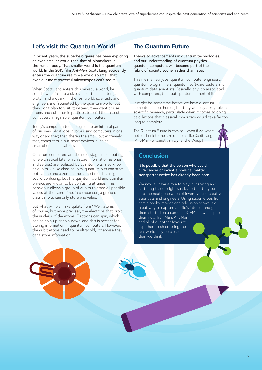### **Let's visit the Quantum World!**

In recent years, the superhero genre has been exploring an even smaller world than that of biomarkers in the human body. That smaller world is the quantum world. In the 2015 film *Ant-Man*, Scott Lang accidently enters the quantum realm – a world so small that even our most powerful microscopes can't see it.

When Scott Lang enters this miniscule world, he somehow shrinks to a size smaller than an atom, a proton and a quark. In the real world, scientists and engineers are fascinated by the quantum world, but they don't plan to visit it; instead, they want to use atoms and sub-atomic particles to build the fastest computers imaginable: quantum computers!

Today's computing technologies are an integral part of our lives. Most jobs involve using computers in one way or another; then there's the small, but extremely fast, computers in our smart devices, such as smartphones and tablets.

Quantum computers are the next stage in computing, where classical bits (which store information as ones and zeroes) are replaced by quantum bits, also known as qubits. Unlike classical bits, quantum bits can store both a one and a zero at the same time! This might sound confusing, but the quantum world and quantum physics are known to be confusing at times! This behaviour allows a group of qubits to store all possible values at the same time; in comparison, a group of classical bits can only store one value.

But what will we make qubits from? Well, atoms, of course, but more precisely the electrons that orbit the nucleus of the atoms. Electrons can spin, which can be spin-up or spin-down, and this is perfect for storing information in quantum computers. However, the qubit atoms need to be ultracold, otherwise they can't store information.

### **The Quantum Future**

Thanks to advancements in quantum technologies, and our understanding of quantum physics, quantum computers will become part of the fabric of society sooner rather than later.

This means new jobs: quantum computer engineers, quantum programmers, quantum software testers and quantum data scientists. Basically, any job associated with computers, then put quantum in front of it!

It might be some time before we have quantum computers in our homes, but they will play a key role in scientific research, particularly when it comes to doing calculations that classical computers would take far too long to complete.

The Quantum Future is coming – even if we won't get to shrink to the size of atoms like Scott Lang (Ant-Man) or Janet van Dyne (the Wasp)!



#### **Conclusion**

It is possible that the person who could cure cancer or invent a physical matter transporter device has already been born.

We now all have a role to play in inspiring and nurturing these bright sparks so that they turn into the next generation of inventive and creative scientists and engineers. Using superheroes from comic books, movies and television shows is a great way to capture a child's interest and get them started on a career in STEM – if we inspire them now, Iron Man, Ant Man

and all of our other favourite superhero tech entering the real world may be closer than we think.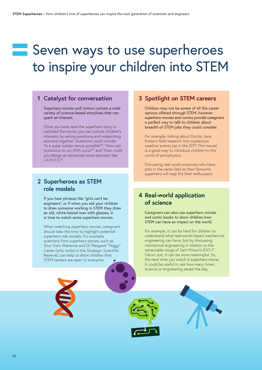### Seven ways to use superheroes to inspire your children into STEM

### **1 Catalyst for conversation**

Superhero movies and comics contain a wide variety of science-based storylines that can spark an interest.

Once you have read the superhero story or watched the movie, you can nurture children's interests by asking questions and researching answers together. Questions could include: "Is a super solider serum possible?", "How can mutations to our DNA occur?" and "How could you design an advanced voice assistant like J.A.R.V.I.S?".

### **2 Superheroes as STEM role models**

If you hear phrases like "girls can't be engineers", or if when you ask your children to draw someone working in STEM they draw an old, white-haired man with glasses, it is time to watch some superhero movies.

When watching superhero movies, caregivers should take the time to highlight potential superhero role models. For example, scientists from superhero stories, such as Shuri from Wakanda and Dr Margaret "Peggy" Carter (who works in the Strategic Scientific Reserve), can help to show children that STEM careers are open to everyone.

#### **3 Spotlight on STEM careers**

Children may not be aware of all the career options offered through STEM, however superhero movies and comics provide caregivers a perfect way to talk to children about breadth of STEM jobs they could consider.

For example, talking about Doctor Jane Foster's field research into mysterious weather events (as in the 2011 *Thor* movie) is a good way to introduce children to the world of astrophysics

Discussing real-world scientists who have jobs in the same field as their favourite superhero will help fire their enthusiasm.

### **4 Real-world application of science**

Caregivers can also use superhero movies and comic books to show children how STEM can have an impact on the world.

For example, it can be hard for children to understand what real-world impact mechanical engineering can have, but by discussing mechanical engineering in relation to the retractable wings of Sam Wilson's EXO-7 Falcon suit, it can be more meaningful. So, the next time you watch a superhero movie, it could be useful to ask how many times science or engineering saved the day.

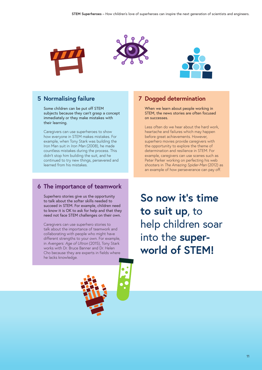





### **5 Normalising failure**

Some children can be put off STEM subjects because they can't grasp a concept immediately or they make mistakes with their learning.

Caregivers can use superheroes to show how everyone in STEM makes mistakes. For example, when Tony Stark was building the Iron Man suit in *Iron Man* (2008), he made countless mistakes during the process. This didn't stop him building the suit, and he continued to try new things, persevered and learned from his mistakes.

### **6 The importance of teamwork**

Superhero stories give us the opportunity to talk about the softer skills needed to succeed in STEM. For example, children need to know it is OK to ask for help and that they need not face STEM challenges on their own.

Caregivers can use superhero stories to talk about the importance of teamwork and collaborating with people who might have different strengths to your own. For example, in *Avengers: Age of Ultron* (2015), Tony Stark works with Dr. Bruce Banner and Dr. Helen Cho because they are experts in fields where he lacks knowledge.

### **7 Dogged determination**

When we learn about people working in STEM, the news stories are often focused on successes.

Less often do we hear about the hard work, heartache and failures which may happen before great achievements. However, superhero movies provide caregivers with the opportunity to explore the theme of determination and resilience in STEM. For example, caregivers can use scenes such as Peter Parker working on perfecting his web shooters in *The Amazing Spider-Man* (2012) as an example of how perseverance can pay off.

**So now it's time to suit up**, to help children soar into the **superworld of STEM!**